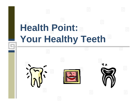# **Health Point:**  Your Healthy Teeth<sup>"</sup>

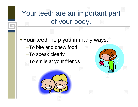#### Your teeth are an important part of your body.

• Your teeth help you in many ways: –To bite and chew food–To speak clearly –To smile at your friends



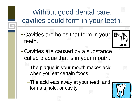#### Without good dental care, cavities could form in your teeth.

• Cavities are holes that form in your teeth.



• Cavities are caused by a substance called plaque that is in your mouth.

–The plaque in your mouth makes acid when you eat certain foods.

–The acid eats away at your teeth and forms a hole, or cavity.

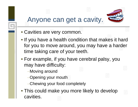#### Anyone can get a cavity.



- Cavities are very common.
- If you have a health condition that makes it hard for you to move around, you may have a harder time taking care of your teeth.
- For example, if you have cerebral palsy, you may have difficulty:
	- –Moving around
	- –Opening your mouth
	- –Chewing your food completely
- This could make you more likely to develop cavities.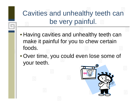Cavities and unhealthy teeth can be very painful.

- Having cavities and unhealthy teeth can make it painful for you to chew certain foods.
- Over time, you could even lose some of your teeth.

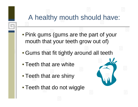## A healthy mouth should have:

- Pink gums (gums are the part of your mouth that your teeth grow out of)
- Gums that fit tightly around all teeth
- Teeth that are white
- Teeth that are shiny
- Teeth that do not wiggle

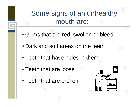#### Some signs of an unhealthy mouth are:

- Gums that are red, swollen or bleed
- Dark and soft areas on the teeth
- Teeth that have holes in them
- Teeth that are loose
- Teeth that are broken

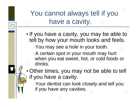You cannot always tell if you have a cavity.

- If you have a cavity, you may be able to tell by how your mouth looks and feels.
	- –You may see a hole in your tooth.
	- –A certain spot in your mouth may hurt when you eat sweet, hot, or cold foods or drinks.
- Other times, you may not be able to tell if you have a cavity.
	- –Your dentist can look closely and tell you if you have any cavities.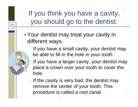#### If you think you have a cavity, you should go to the dentist.

- Your dentist may treat your cavity in different ways.
	- –If you have a small cavity, your dentist may be able to fill in the hole in your tooth.
	- –If you have a larger cavity, your dentist may place a crown over your tooth to cover the hole.
	- –If the cavity is very bad, the dentist may remove the center of your tooth. This procedure is called a root canal.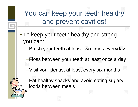You can keep your teeth healthy and prevent cavities!

• To keep your teeth healthy and strong, you can:

–Brush your teeth at least two times everyday

–Floss between your teeth at least once a day

–Visit your dentist at least every six months

–Eat healthy snacks and avoid eating sugary foods between meals

 $\bigstar$ 

11 YAZ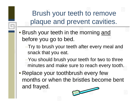Brush your teeth to remove plaque and prevent cavities.

• Brush your teeth in the morning <u>and</u> before you go to bed.

–Try to brush your teeth after every meal and snack that you eat.

–You should brush your teeth for two to three minutes and make sure to reach every tooth.

• Replace your toothbrush every few months or when the bristles become bent and frayed.

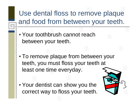#### Use dental floss to remove plaque and food from between your teeth.

- Your toothbrush cannot reach between your teeth.
- To remove plaque from between your teeth, you must floss your teeth at least one time everyday.
- Your dentist can show you the correct way to floss your teeth.

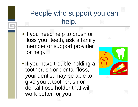#### People who support you can help.

- If you need help to brush or floss your teeth, ask a family member or support provider for help.
- If you have trouble holding a toothbrush or dental floss, your dentist may be able to give you a toothbrush or dental floss holder that will work better for you.

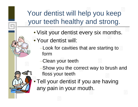#### Your dentist will help you keep your teeth healthy and strong.

- Visit your dentist every six months.
- Your dentist will:
	- –Look for cavities that are starting to form
	- –Clean your teeth
	- –Show you the correct way to brush and floss your teeth
- Tell your dentist if you are having any pain in your mouth.

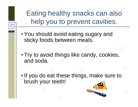Eating healthy snacks can also help you to prevent cavities.

- You should avoid eating sugary and sticky foods between meals.
- Try to avoid things like candy, cookies, and soda.
- If you do eat these things, make sure to brush your teeth!